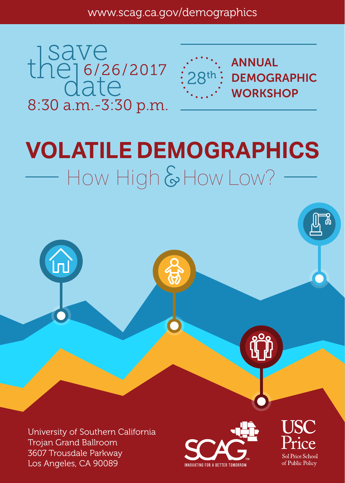the 16/26/2017 8:30 a.m.-3:30 p.m.



# **VOLATILE DEMOGRAPHICS** How High & How Low?



University of Southern California Trojan Grand Ballroom 3607 Trousdale Parkway Los Angeles, CA 90089



Sol Price School of Public Policy